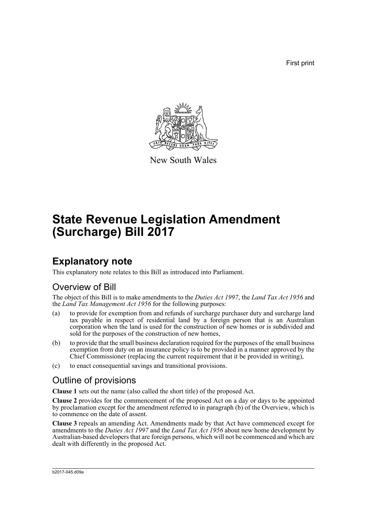First print



New South Wales

# **State Revenue Legislation Amendment (Surcharge) Bill 2017**

## **Explanatory note**

This explanatory note relates to this Bill as introduced into Parliament.

## Overview of Bill

The object of this Bill is to make amendments to the *Duties Act 1997*, the *Land Tax Act 1956* and the *Land Tax Management Act 1956* for the following purposes:

- (a) to provide for exemption from and refunds of surcharge purchaser duty and surcharge land tax payable in respect of residential land by a foreign person that is an Australian corporation when the land is used for the construction of new homes or is subdivided and sold for the purposes of the construction of new homes,
- (b) to provide that the small business declaration required for the purposes of the small business exemption from duty on an insurance policy is to be provided in a manner approved by the Chief Commissioner (replacing the current requirement that it be provided in writing),
- (c) to enact consequential savings and transitional provisions.

## Outline of provisions

**Clause 1** sets out the name (also called the short title) of the proposed Act.

**Clause 2** provides for the commencement of the proposed Act on a day or days to be appointed by proclamation except for the amendment referred to in paragraph (b) of the Overview, which is to commence on the date of assent.

**Clause 3** repeals an amending Act. Amendments made by that Act have commenced except for amendments to the *Duties Act 1997* and the *Land Tax Act 1956* about new home development by Australian-based developers that are foreign persons, which will not be commenced and which are dealt with differently in the proposed Act.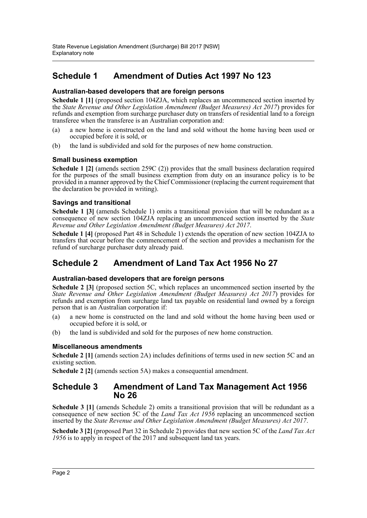### **Schedule 1 Amendment of Duties Act 1997 No 123**

#### **Australian-based developers that are foreign persons**

**Schedule 1 [1]** (proposed section 104ZJA, which replaces an uncommenced section inserted by the *State Revenue and Other Legislation Amendment (Budget Measures) Act 2017*) provides for refunds and exemption from surcharge purchaser duty on transfers of residential land to a foreign transferee when the transferee is an Australian corporation and:

- (a) a new home is constructed on the land and sold without the home having been used or occupied before it is sold, or
- (b) the land is subdivided and sold for the purposes of new home construction.

#### **Small business exemption**

**Schedule 1 [2]** (amends section 259C (2)) provides that the small business declaration required for the purposes of the small business exemption from duty on an insurance policy is to be provided in a manner approved by the Chief Commissioner (replacing the current requirement that the declaration be provided in writing).

#### **Savings and transitional**

**Schedule 1 [3]** (amends Schedule 1) omits a transitional provision that will be redundant as a consequence of new section 104ZJA replacing an uncommenced section inserted by the *State Revenue and Other Legislation Amendment (Budget Measures) Act 2017*.

**Schedule 1 [4]** (proposed Part 48 in Schedule 1) extends the operation of new section 104ZJA to transfers that occur before the commencement of the section and provides a mechanism for the refund of surcharge purchaser duty already paid.

### **Schedule 2 Amendment of Land Tax Act 1956 No 27**

#### **Australian-based developers that are foreign persons**

**Schedule 2 [3]** (proposed section 5C, which replaces an uncommenced section inserted by the *State Revenue and Other Legislation Amendment (Budget Measures) Act 2017*) provides for refunds and exemption from surcharge land tax payable on residential land owned by a foreign person that is an Australian corporation if:

- (a) a new home is constructed on the land and sold without the home having been used or occupied before it is sold, or
- (b) the land is subdivided and sold for the purposes of new home construction.

#### **Miscellaneous amendments**

**Schedule 2 [1]** (amends section 2A) includes definitions of terms used in new section 5C and an existing section.

**Schedule 2 [2]** (amends section 5A) makes a consequential amendment.

### **Schedule 3 Amendment of Land Tax Management Act 1956 No 26**

**Schedule 3 [1]** (amends Schedule 2) omits a transitional provision that will be redundant as a consequence of new section 5C of the *Land Tax Act 1956* replacing an uncommenced section inserted by the *State Revenue and Other Legislation Amendment (Budget Measures) Act 2017*.

**Schedule 3 [2]** (proposed Part 32 in Schedule 2) provides that new section 5C of the *Land Tax Act 1956* is to apply in respect of the 2017 and subsequent land tax years.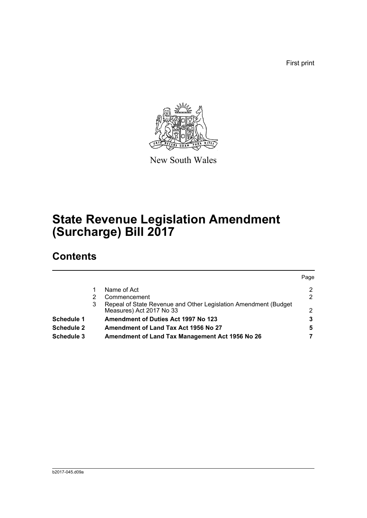First print



New South Wales

# **State Revenue Legislation Amendment (Surcharge) Bill 2017**

## **Contents**

|   |                                                                                             | Page           |
|---|---------------------------------------------------------------------------------------------|----------------|
|   | Name of Act                                                                                 | $\overline{2}$ |
|   | Commencement                                                                                | 2              |
| 3 | Repeal of State Revenue and Other Legislation Amendment (Budget<br>Measures) Act 2017 No 33 | 2              |
|   | <b>Amendment of Duties Act 1997 No 123</b>                                                  | 3              |
|   | Amendment of Land Tax Act 1956 No 27                                                        | 5              |
|   | Amendment of Land Tax Management Act 1956 No 26                                             |                |
|   |                                                                                             |                |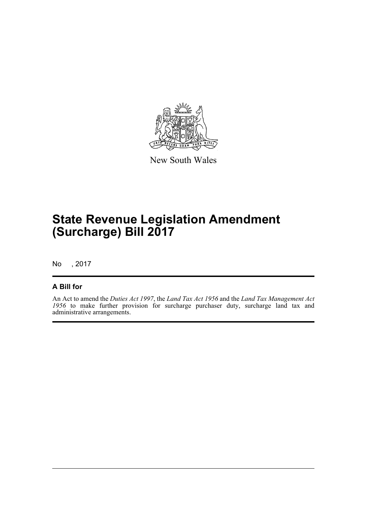

New South Wales

# **State Revenue Legislation Amendment (Surcharge) Bill 2017**

No , 2017

### **A Bill for**

An Act to amend the *Duties Act 1997*, the *Land Tax Act 1956* and the *Land Tax Management Act 1956* to make further provision for surcharge purchaser duty, surcharge land tax and administrative arrangements.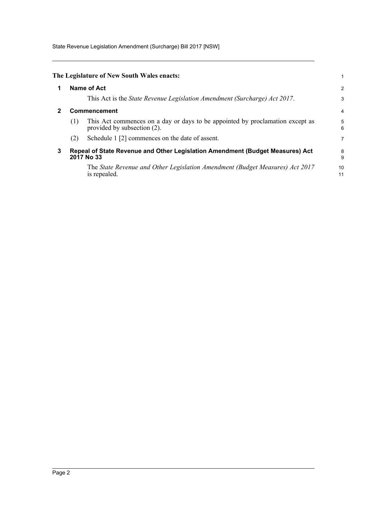State Revenue Legislation Amendment (Surcharge) Bill 2017 [NSW]

<span id="page-4-2"></span><span id="page-4-1"></span><span id="page-4-0"></span>

| 1 |                                                                                             | <b>Name of Act</b>                                                                                           | 2        |
|---|---------------------------------------------------------------------------------------------|--------------------------------------------------------------------------------------------------------------|----------|
|   |                                                                                             | This Act is the State Revenue Legislation Amendment (Surcharge) Act 2017.                                    | 3        |
| 2 | Commencement                                                                                |                                                                                                              |          |
|   | (1)                                                                                         | This Act commences on a day or days to be appointed by proclamation except as<br>provided by subsection (2). | 5<br>6   |
|   | (2)                                                                                         | Schedule 1 [2] commences on the date of assent.                                                              | 7        |
| 3 | Repeal of State Revenue and Other Legislation Amendment (Budget Measures) Act<br>2017 No 33 |                                                                                                              |          |
|   |                                                                                             | The State Revenue and Other Legislation Amendment (Budget Measures) Act 2017<br>is repealed.                 | 10<br>11 |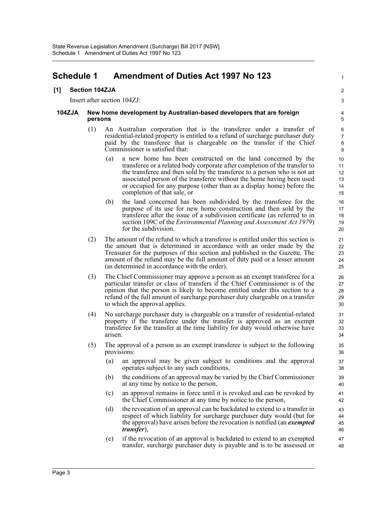### <span id="page-5-0"></span>**Schedule 1 Amendment of Duties Act 1997 No 123**

#### **[1] Section 104ZJA**

Insert after section 104ZJ:

#### **104ZJA New home development by Australian-based developers that are foreign persons**

- (1) An Australian corporation that is the transferee under a transfer of residential-related property is entitled to a refund of surcharge purchaser duty paid by the transferee that is chargeable on the transfer if the Chief Commissioner is satisfied that:
	- (a) a new home has been constructed on the land concerned by the transferee or a related body corporate after completion of the transfer to the transferee and then sold by the transferee to a person who is not an associated person of the transferee without the home having been used or occupied for any purpose (other than as a display home) before the completion of that sale, or

1

 $\overline{2}$ 3

- (b) the land concerned has been subdivided by the transferee for the purpose of its use for new home construction and then sold by the transferee after the issue of a subdivision certificate (as referred to in section 109C of the *Environmental Planning and Assessment Act 1979*) for the subdivision.
- (2) The amount of the refund to which a transferee is entitled under this section is the amount that is determined in accordance with an order made by the Treasurer for the purposes of this section and published in the Gazette. The amount of the refund may be the full amount of duty paid or a lesser amount (as determined in accordance with the order).
- (3) The Chief Commissioner may approve a person as an exempt transferee for a particular transfer or class of transfers if the Chief Commissioner is of the opinion that the person is likely to become entitled under this section to a refund of the full amount of surcharge purchaser duty chargeable on a transfer to which the approval applies.
- (4) No surcharge purchaser duty is chargeable on a transfer of residential-related property if the transferee under the transfer is approved as an exempt transferee for the transfer at the time liability for duty would otherwise have arisen.
- (5) The approval of a person as an exempt transferee is subject to the following provisions:
	- (a) an approval may be given subject to conditions and the approval operates subject to any such conditions,
	- (b) the conditions of an approval may be varied by the Chief Commissioner at any time by notice to the person,
	- (c) an approval remains in force until it is revoked and can be revoked by the Chief Commissioner at any time by notice to the person,
	- (d) the revocation of an approval can be backdated to extend to a transfer in respect of which liability for surcharge purchaser duty would (but for the approval) have arisen before the revocation is notified (an *exempted transfer*),
	- (e) if the revocation of an approval is backdated to extend to an exempted transfer, surcharge purchaser duty is payable and is to be assessed or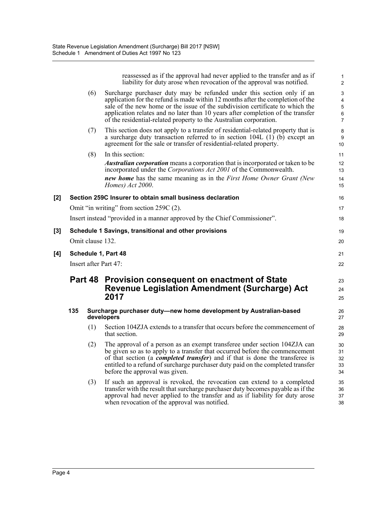reassessed as if the approval had never applied to the transfer and as if liability for duty arose when revocation of the approval was notified.

1 2

|     |     | (6)              | Surcharge purchaser duty may be refunded under this section only if an<br>application for the refund is made within 12 months after the completion of the<br>sale of the new home or the issue of the subdivision certificate to which the<br>application relates and no later than 10 years after completion of the transfer<br>of the residential-related property to the Australian corporation. | 3<br>4<br>$\,$ 5 $\,$<br>6<br>$\overline{7}$ |
|-----|-----|------------------|-----------------------------------------------------------------------------------------------------------------------------------------------------------------------------------------------------------------------------------------------------------------------------------------------------------------------------------------------------------------------------------------------------|----------------------------------------------|
|     |     | (7)              | This section does not apply to a transfer of residential-related property that is<br>a surcharge duty transaction referred to in section 104L (1) (b) except an<br>agreement for the sale or transfer of residential-related property.                                                                                                                                                              | 8<br>$\boldsymbol{9}$<br>10                  |
|     |     | (8)              | In this section:                                                                                                                                                                                                                                                                                                                                                                                    | 11                                           |
|     |     |                  | <i>Australian corporation</i> means a corporation that is incorporated or taken to be<br>incorporated under the Corporations Act 2001 of the Commonwealth.                                                                                                                                                                                                                                          | 12<br>13                                     |
|     |     |                  | <b>new home</b> has the same meaning as in the First Home Owner Grant (New<br>Homes) Act 2000.                                                                                                                                                                                                                                                                                                      | 14<br>15                                     |
| [2] |     |                  | Section 259C Insurer to obtain small business declaration                                                                                                                                                                                                                                                                                                                                           | 16                                           |
|     |     |                  | Omit "in writing" from section 259C (2).                                                                                                                                                                                                                                                                                                                                                            | 17                                           |
|     |     |                  | Insert instead "provided in a manner approved by the Chief Commissioner".                                                                                                                                                                                                                                                                                                                           | 18                                           |
| [3] |     |                  | Schedule 1 Savings, transitional and other provisions                                                                                                                                                                                                                                                                                                                                               | 19                                           |
|     |     | Omit clause 132. |                                                                                                                                                                                                                                                                                                                                                                                                     | 20                                           |
| [4] |     |                  | Schedule 1, Part 48                                                                                                                                                                                                                                                                                                                                                                                 | 21                                           |
|     |     |                  | Insert after Part 47:                                                                                                                                                                                                                                                                                                                                                                               | 22                                           |
|     |     |                  | Part 48 Provision consequent on enactment of State<br><b>Revenue Legislation Amendment (Surcharge) Act</b><br>2017                                                                                                                                                                                                                                                                                  | 23<br>24<br>25                               |
|     | 135 |                  | Surcharge purchaser duty-new home development by Australian-based<br>developers                                                                                                                                                                                                                                                                                                                     | 26<br>27                                     |
|     |     | (1)              | Section 104ZJA extends to a transfer that occurs before the commencement of<br>that section.                                                                                                                                                                                                                                                                                                        | 28<br>29                                     |
|     |     | (2)              | The approval of a person as an exempt transferee under section 104ZJA can<br>be given so as to apply to a transfer that occurred before the commencement<br>of that section (a <i>completed transfer</i> ) and if that is done the transferee is<br>entitled to a refund of surcharge purchaser duty paid on the completed transfer<br>before the approval was given.                               | 30<br>31<br>32<br>33<br>34                   |
|     |     | (3)              | If such an approval is revoked, the revocation can extend to a completed<br>transfer with the result that surcharge purchaser duty becomes payable as if the<br>approval had never applied to the transfer and as if liability for duty arose<br>when revocation of the approval was notified.                                                                                                      | 35<br>36<br>37<br>38                         |

 $[4]$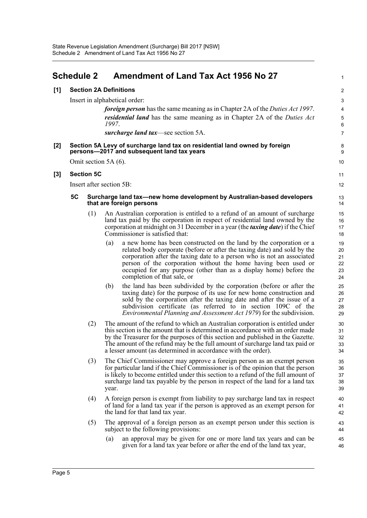<span id="page-7-0"></span>

| <b>Schedule 2</b>                    |                                                                                                                          | Amendment of Land Tax Act 1956 No 27 |                          |                                                                                                                                                                                                                                                                                                                                                                                                      |                                  |
|--------------------------------------|--------------------------------------------------------------------------------------------------------------------------|--------------------------------------|--------------------------|------------------------------------------------------------------------------------------------------------------------------------------------------------------------------------------------------------------------------------------------------------------------------------------------------------------------------------------------------------------------------------------------------|----------------------------------|
| <b>Section 2A Definitions</b><br>[1] |                                                                                                                          |                                      |                          | $\overline{\mathbf{c}}$                                                                                                                                                                                                                                                                                                                                                                              |                                  |
|                                      |                                                                                                                          |                                      | 1997.                    | Insert in alphabetical order:<br><i>foreign person</i> has the same meaning as in Chapter 2A of the <i>Duties Act 1997</i> .<br><i>residential land</i> has the same meaning as in Chapter 2A of the <i>Duties Act</i><br>surcharge land tax—see section 5A.                                                                                                                                         | 3<br>4<br>5<br>6<br>7            |
| $[2]$                                | Section 5A Levy of surcharge land tax on residential land owned by foreign<br>persons-2017 and subsequent land tax years |                                      |                          |                                                                                                                                                                                                                                                                                                                                                                                                      |                                  |
|                                      |                                                                                                                          |                                      | Omit section 5A (6).     |                                                                                                                                                                                                                                                                                                                                                                                                      | 10                               |
| $[3]$                                |                                                                                                                          | <b>Section 5C</b>                    |                          |                                                                                                                                                                                                                                                                                                                                                                                                      | 11                               |
|                                      |                                                                                                                          |                                      | Insert after section 5B: |                                                                                                                                                                                                                                                                                                                                                                                                      | 12                               |
|                                      | <b>5C</b>                                                                                                                |                                      |                          | Surcharge land tax—new home development by Australian-based developers<br>that are foreign persons                                                                                                                                                                                                                                                                                                   | 13<br>14                         |
|                                      |                                                                                                                          | (1)                                  |                          | An Australian corporation is entitled to a refund of an amount of surcharge<br>land tax paid by the corporation in respect of residential land owned by the<br>corporation at midnight on 31 December in a year (the <i>taxing date</i> ) if the Chief<br>Commissioner is satisfied that:                                                                                                            | 15<br>16<br>17<br>18             |
|                                      |                                                                                                                          |                                      | (a)                      | a new home has been constructed on the land by the corporation or a<br>related body corporate (before or after the taxing date) and sold by the<br>corporation after the taxing date to a person who is not an associated<br>person of the corporation without the home having been used or<br>occupied for any purpose (other than as a display home) before the<br>completion of that sale, or     | 19<br>20<br>21<br>22<br>23<br>24 |
|                                      |                                                                                                                          |                                      | (b)                      | the land has been subdivided by the corporation (before or after the<br>taxing date) for the purpose of its use for new home construction and<br>sold by the corporation after the taxing date and after the issue of a<br>subdivision certificate (as referred to in section 109C of the<br><i>Environmental Planning and Assessment Act 1979</i> ) for the subdivision.                            | 25<br>26<br>27<br>28<br>29       |
|                                      |                                                                                                                          | (2)                                  |                          | The amount of the refund to which an Australian corporation is entitled under<br>this section is the amount that is determined in accordance with an order made<br>by the Treasurer for the purposes of this section and published in the Gazette.<br>The amount of the refund may be the full amount of surcharge land tax paid or<br>a lesser amount (as determined in accordance with the order). | 30<br>31<br>32<br>33<br>34       |
|                                      |                                                                                                                          | (3)                                  | year.                    | The Chief Commissioner may approve a foreign person as an exempt person<br>for particular land if the Chief Commissioner is of the opinion that the person<br>is likely to become entitled under this section to a refund of the full amount of<br>surcharge land tax payable by the person in respect of the land for a land tax                                                                    | 35<br>36<br>37<br>38<br>39       |
|                                      |                                                                                                                          | (4)                                  |                          | A foreign person is exempt from liability to pay surcharge land tax in respect<br>of land for a land tax year if the person is approved as an exempt person for<br>the land for that land tax year.                                                                                                                                                                                                  | 40<br>41<br>42                   |
|                                      |                                                                                                                          | (5)                                  |                          | The approval of a foreign person as an exempt person under this section is<br>subject to the following provisions:                                                                                                                                                                                                                                                                                   | 43<br>44                         |
|                                      |                                                                                                                          |                                      | (a)                      | an approval may be given for one or more land tax years and can be<br>given for a land tax year before or after the end of the land tax year,                                                                                                                                                                                                                                                        | 45<br>46                         |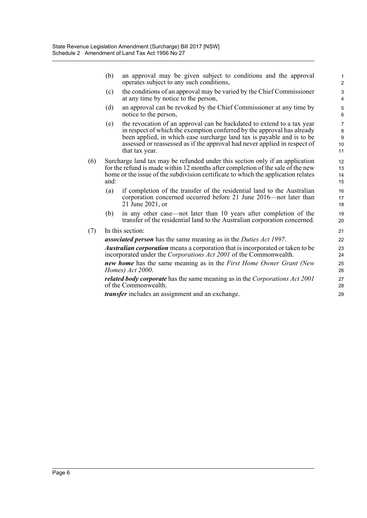(b) an approval may be given subject to conditions and the approval operates subject to any such conditions,

- (c) the conditions of an approval may be varied by the Chief Commissioner at any time by notice to the person,
- (d) an approval can be revoked by the Chief Commissioner at any time by notice to the person,
- (e) the revocation of an approval can be backdated to extend to a tax year in respect of which the exemption conferred by the approval has already been applied, in which case surcharge land tax is payable and is to be assessed or reassessed as if the approval had never applied in respect of that tax year.
- (6) Surcharge land tax may be refunded under this section only if an application for the refund is made within 12 months after completion of the sale of the new home or the issue of the subdivision certificate to which the application relates and:
	- (a) if completion of the transfer of the residential land to the Australian corporation concerned occurred before 21 June 2016—not later than 21 June 2021, or
	- (b) in any other case—not later than 10 years after completion of the transfer of the residential land to the Australian corporation concerned.
- (7) In this section:

*associated person* has the same meaning as in the *Duties Act 1997*.

*Australian corporation* means a corporation that is incorporated or taken to be incorporated under the *Corporations Act 2001* of the Commonwealth.

*new home* has the same meaning as in the *First Home Owner Grant (New Homes) Act 2000*.

*related body corporate* has the same meaning as in the *Corporations Act 2001* of the Commonwealth.

*transfer* includes an assignment and an exchange.